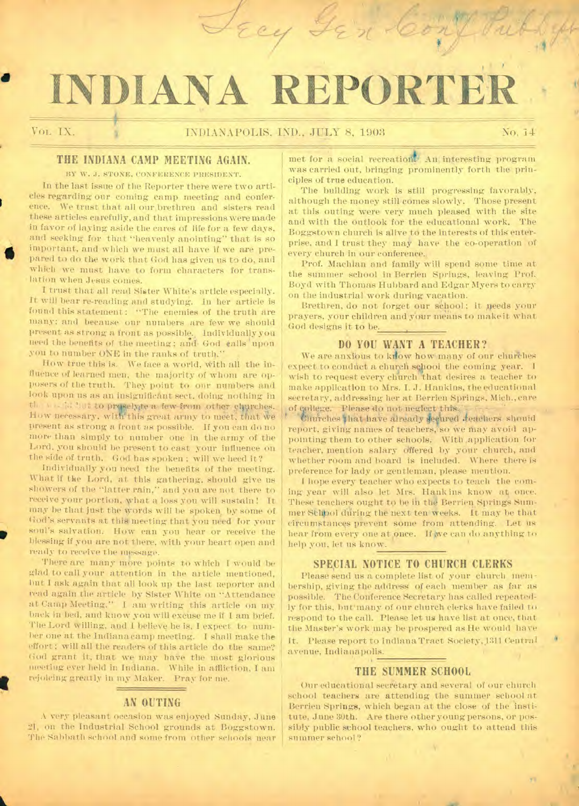# **INDIANA REPORTER**

Trey Sin Cony

a

I

### **THE INDIANA CAMP MEETING AGAIN.**

BY W. J. STONE, CONFERENCE PRESIDENT.

In the last issue of the Reporter there were two articles regarding our coming camp meeting and conference. We trust that all our. brethren and sisters read these articles carefully, and that impressions were made in favor of laying aside the cares of life for a few days, and seeking for that "heavenly anointing" that is so important, and which we must all have if we are prepared to do the work that God has given us to do, and which we must have to form characters for translation when Jesus comes.

I trust that all read Sister White's article especially. It will bear re-reading and studying. In her article is found this statement: "The enemies of the truth are many; and because our numbers are few we should present as strong a front as possible. Individually you need the benefits of the meeting; and, God calls 'upon' you to number ONE in the ranks of truth.'

How true this is. We face a world, With all the influence of learned men, the majority of whom are opposers of the truth. They point to our numbers and look upon us as an insignificant sect, doing nothing in the weight it to presely te a few from other churches. How necessary, with this great army to meet, that we present as strong a front as possible. If you can do no more than simply to number one in the army of the Lord, you should be present to cast your influence on the side of truth. God has spoken ; will we heed it?

Individually you need the benefits of the meeting. What if the Lord, at this gathering, should give us showers of the "latter rain," and you are not there to receive your portion, what a loss you will sustain ! It may be that just the words will be spoken, by some of God's servants at this meeting that you need for your soul's salvation. How can you hear or receive the blessing if you are not there, with your heart open and ready to receive the message.

There are many more points to which I would be glad to call your attention in the article mentioned, but I ask again that. all look up the last Reporter and read again the article by Sister White on "Attendance at Camp Meeting." I am writing this article on my back in bed, and know you will excuse me if I am brief. The Lord willing, and I believe he is, I expect to number one at the Indianacamp meeting. I shall make the effort; will all the readers of this article do the same? God grant it, that we may have the most glorious meeting ever held in Indiana.. While in affliction, I am rejoicing greatly in my Maker. Pray for me.

#### **AN OUTING**

A very pleasant occasion was enjoyed Sunday, June 21, on the Industrial School grounds at Boggstown. The Sabbath school and some from other schools near

met for a social recreationt An interesting program was carried out, bringing prominently forth the principles of true education.

The building work is still progressing favorably, although the money still comes slowly. Those present at this outing were very much pleased with the site and with the outlook for the educational work. The Boggstown church is alive to the interests of this enterprise, and I trust they may have the co-operation of every church in our conference.

Prof. Machlan and family will spend some time at the summer school in Berrien Springs, leaving Prof. Boyd with Thomas Hubbard and Edgar Myers to carry on the industrial work during vacation.

Brethren, do not forget our school; it needs your prayers, your children and your means to make it what God designs it to be.

#### **DO YOU WANT A TEACHER?**

We are anxious to kilow how many of our churches expect to conduct a church school the coming year. I wish to request every church that desires a teacher to make application to Mrs. I. J. Hankins, the educational secretary, addressing her at Berrien Springs, Mich., care of cpllege. Please do not neglect this.,

Unurches that have already seeured deachers should report, giving names of teachers, so we may avoid appointing them to other schools. With application for teacher, mention salary offered by your church, and whether room and board is included. Where there is preference for lady or gentleman, please mention.

I hope every teacher who expects to teach the coming year will also let Mrs. Hank ins know at once. These teachers ought to be in the Berrien Springs Summer Schlool daring the next ten weeks. It may be that circumstances prevent some from attending. Let us hear from every one at once. If we can do anything to help you, let us know.

## **SPECIAL NOTICE TO CHURCH CLERKS**

Please send us a complete list of your church membership, giving the address of each member as far as possible. The Conference Secretary has called repeatedly for this, but'many of our church clerks have failed to respond to the call. Please let us have list at once, that the Master's work may be prospered as He would have It. Please report to Indiana Tract Society, 1311 Central avenue, Indianapolis.

#### **THE SUMMER SCHOOL**

Our educational secretary and several of our church school teachers are attending the summer school at Berrien Springs, which began at the close of the institute, June 30th. Are there other young persons, or possibly public school teachers, who ought to attend this summer school ?

 $\mathbf{r}$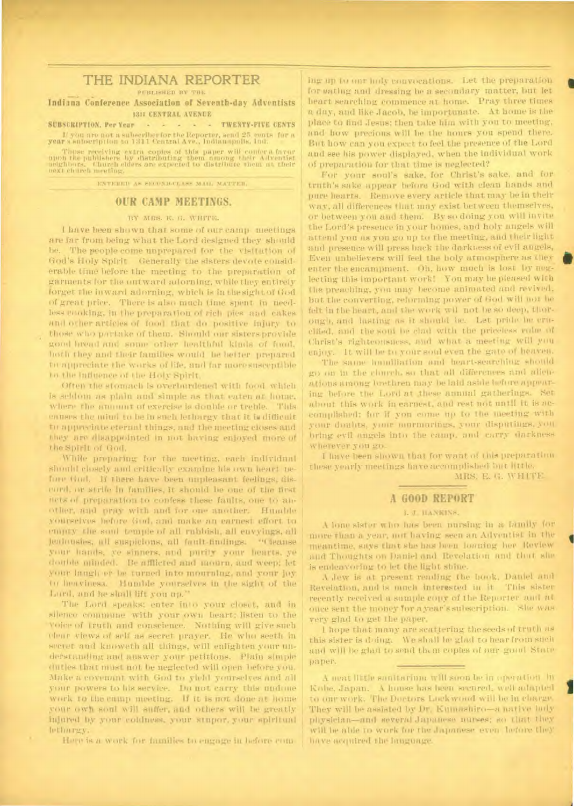## THE INDIANA REPORTER

PUBLISHED BY THE

--- - Indiana Conference Association of Seventh-day Adventists **1311 CENTRAL AVENUE** 

**SUBSCRIPTION. Per Year - - - - - TWENTY-FIVE CENTS** If you are not a subscriber for the Reporter, send 25 cents for a year a subscript ion to 1311 Central Ave., Indianapolis, Ind.

Those receiving extra copies of this paper will confer a favor ppon the publishers by distributing them among their Adventist ueghbors. Church elders are expected to distribute them at their maxi cheir

ENTERED AS SECOND-CLASS MAIL MATTER.

#### **OUR CAMP MEETINGS.**

#### BY AIRS. E. (I. WHITE.

I have been shown that some of our camp meetings are far from being what the Lord designed they should be. The people come unprepared for the visitation of God's Holy Spirit. Generally the sisters devote considerable time before the meeting to the preparation of garments for the outward adorning. while they entirely forget the inward adorning, which is in the sight of God of great price. There is also much time spent in needless cooking, in the preparation of rich pies and cakes and other articles of food that do positive injury to those who partake of them. Should our sisters provide good bread and some other healthful kinds of food, both they and their families would be better prepared to appreciate the works of life, and far morestisceptible to the influence of the Holy Spirit.

Often the stomach is overburdened with food which is seldom as plain and simple as that eaten at home, where the amount of exercise is double or treble. This causes the mind to be in such lethargy that it is difficult to appreciate eternal things, and the meeting.closes and they are disappointed in not having enjoyed more of the Spirit of God.

While preparing for the meeting, each individual should closely and critically examine his own heart nefore God. If there have been unpleasant feelings. discord, or strife in families, it should be one of the first acts of preparation to confess these faults, one to another. and pray with and for one another. Humble yourselves before God, and make am earnest effort to empty the soul temple of all rubbish, all envyings, all jealousies, all suspicions, all fault-findings. "Cleanse your hands, *ye* sinners, and purify your hearts, ye double minded. Ile afflicted and mourn, and weep: let your laugh er be turned into mourning, and your joy to heaviness. Humble yourselves in the sight of the Lord, and he shall lift you up."

The Lord speaks: enter into your closet, and in silence commune with your own heart: listen to the voice of truth and conscience. Nothing will give such clear views of self as secret prayer. Ile who seeth iu secret and knoweth all things, will enlighten your understanding awd answer your petitions. Plain simple duties that must not be neglected will open before you. Make a covenant with God to yield yourselves and all your powers to his service. Do not carry this undone work to the camp meeting. If it is not done at home your own son! will suffer, and others will be greatly injured by your coldness, your stupor, your spiritual lethargy.

Here is a work for families to engage in before com-

ing up to our holy convocations. Let the preparation for eating and dressing be a secondary matter, but let heart searching commence at home. Pray three times a day, and like Jacob, he importunate. At home is the place to find Jesus; then take him with you to meeting, and how precious will be the hours you spend there. But how can you expect to feel the presence of the Lord and see his power displayed, when the individual work of preparation for that time is neglected?

•

•

I

For your soul's sake. for Christ's sake, and for truth's sake appear before God with clean hands and pure hearts. Remove every article that may be in their way, all differences that may exist between themselves, or between you and them. By so doing you will invite the Lord's presence in your homes, and holy angels will attend you as you go up to the meeting, and their light and presence will press back the darkness of evil angels, Even unbelievers will feel the holy atmosphere as they enter the encampment. Oh, how much is lost by neglecting this important work! You may be pleased with the preaching, you may become animated and revived, but the converting:. reforming, power of God will not be felt in the heart, and the work will not be so deep, thorough, and lasting as it should be. Let pride be crucified, and the soul be chid with the priceless robe of Christ's righteousness, and what a meeting will you enjoy. It will be to your soul even the gate of heaven.

The same humiliation and heart-searching should go on in the church, so that all differences and alienations among brethren may be laid aside before appearing before the Lord at these annual gatherings. Set about this work in earnest, and rest not mail it is accomplished: for if you come up to the meeting with your doubts, your murmurings, your disputings, you bring evil angels into the camp. and carry darkness wherever you go.

I have been shown that for want of this preparation these yearly meetings have accomplished but little.

MRS. E. G. WHITE.

#### **A GOOD REPORT**

#### I. J. HANKINS.

A lone sister who has been nursing in a family for more than a year, not having seen an Adventist in the meantime, says that she has been loaning her Review and Thoughts on Daniel and Revelation and that she is endeavoring to let the light shine.

A dew is at present reading the book, Daniel and Revelation, and is much interested in it. This sister recently received a sample copy of the Reporter and at once sent the money for a year's subscription. She was very glad to get the paper.

I hope that many are scattering the seeds of truth as this sister is doing. We shall be glad to hear from such and will be glad to send them copies of our good State paper.

A neat little sanitarium will soon be in operation in Kobe. Japan. A house has been secured. well adapted to our work. The Doctors Lockwood will be in charge. They will be assisted by Dr. Kumashiro—a native lady physician—and several Japanese nurses: so that they will be able to work for the Japanese even before they have m40-fired the language.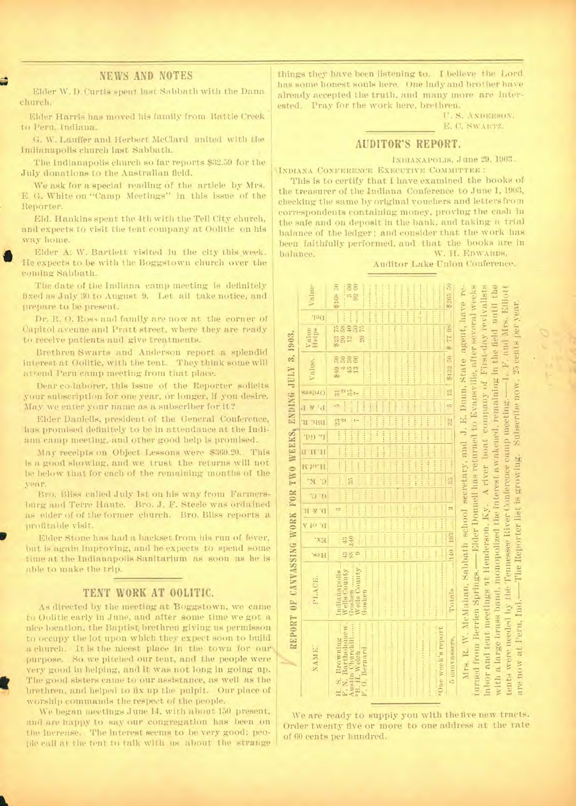#### NEWS AND NOTES

Elder W. D. Curtis spent last Sabbath with the Dana church.

Elder Harris has moved his family from Battle Creek • to Peru. Indiana.

G. W. Lauffer and Herbert McClard united with the Indianapolis church last Sabbath.

The Indianapolis church so far reports \$32.59 for the July donations to the Australian field.

We ask for a special reading of the article by Mrs. E. G. White on "Camp Meetings" in this issue of the Reporter.

Eld. Hankins spent the 4th with the Tell City church, and expects to visit the tent company at Oolitic on his way home.

**fib** Elder A: W. Bartlett visited in the city this week. Re expects to be with the Boggstown church over the coming Sabbath.

The date of the Indiana camp meeting is definitely fixed as July 30 to August 9. Let all take notice, and prepare to be present.

Dr. R. 0. Ross and family are now at the corner of Capitol avenue and Pratt street, where they are ready to receive patients and give treatments.

Brethren Swarts and Anderson report a splendid interest at Oolitic, with the tent. They think some will attend Peru camp meeting from that place.

Dear co-laborer, this issue of the Reporter solicits your subscription for one year, or longer, if you desire. May we enter your name as a subscriber for it?

Elder Daniells, president of the General Conference, has promised definitely to be in attendance at the Indiana camp meeting, and other good help is promised.

May receipts on Object Lessons were \$360.20. This is a good showing, and we trust the returns will not hebelow that for each of the remaining months of the year.

Bro. Bliss called July 1st on his way from Farmersburg and Terre Haute. Bro. J. F. Steele was ordained as elder of of the former church. Bro. Bliss reports a profitable visit.

Elder Stone has had a backset from his run of fever, but is again improving, and he expects to spend some time at the Indianapolis Sanitarium as soon as he is able to make the trip.

#### TENT WORK AT OOLITIC.

As directed by the meeting at Boggstown, we came to Oolitic early in June, and after some time we got a nice location, the Baptist brethren giving us permisson to occupy the lot upon which they expect soon to build a. church. It is the nicest place in the town for our purpose. So we pitched our tent, and the people were very good in helping, and it was not long in going up. The good sisters came to our assistance, as well as the brethren, and helped to fix up the pulpit. Our place of worship commands the respect of the people.

t.

We began meetings June 14, with about 150 present, and are happy to say our congregation has been on the increase. The interest seems to be very good; people call at the tent to talk with us about the strange

things they have been listening to. I believe the Lord has some honest souls here. One lady and brother have already accepted the truth, and many more are interested. Pray for the work here, brethren.

> U.S. ANDERSON, E. C. SWARTZ.

> > a large bruss band, monopolized the interest a wakened, remaining in the field until the

F, and Mrs. Elliott 25 cents per year

 $\frac{1}{x}$ 

camp 1

River Conference  $\frac{\pi}{2}$ 

Tennessee l'he

the<sup>'</sup> Ind needed by Peru, at  $\mathbb R$ аге по

with a tents

Subscribe now. meeting.

growing.

Reporter list

#### AUDITOR'S REPORT.

INDIANAPOLIS,June 29, 1903.

INDIANA CONFERENCE EXECUTIVE COMMITTEE :

This is to certify that I have examined the books of the treasurer of the Indiana Conference to June 1, 1903, checking the same by original vouchers and letters from correspondents containing money, proving the cash in the safe and on deposit in the bank, and taking a trial balance of the ledger; and consider that the work has been faithfully performed, and that the books are in balance. W. H. EDWARDS,

Auditor Lake Union Conference.

|                                                               | Value <sup>-</sup> | $\frac{5}{92}$ 00<br>$\begin{array}{llllll} 8.93 & 75 & \dots & 8108 & 50 \\ 20 & 58 & \dots & \dots & \dots \\ 12 & 40 & \dots & \dots & \dots & \dots \\ \end{array}$<br>\$265.50<br><b>Address Communications</b><br>-----------------<br>The contract of the contract of the                                                                                                                                                                                                                                                                                                                                                                                                                                                                                                                                                                                                                                                                                                                                                                                                                                                                                                                                                                                      |                                                                                                                                                                                                                                                                                |
|---------------------------------------------------------------|--------------------|-----------------------------------------------------------------------------------------------------------------------------------------------------------------------------------------------------------------------------------------------------------------------------------------------------------------------------------------------------------------------------------------------------------------------------------------------------------------------------------------------------------------------------------------------------------------------------------------------------------------------------------------------------------------------------------------------------------------------------------------------------------------------------------------------------------------------------------------------------------------------------------------------------------------------------------------------------------------------------------------------------------------------------------------------------------------------------------------------------------------------------------------------------------------------------------------------------------------------------------------------------------------------|--------------------------------------------------------------------------------------------------------------------------------------------------------------------------------------------------------------------------------------------------------------------------------|
|                                                               | 100                | 10<br>10<br>10<br>10                                                                                                                                                                                                                                                                                                                                                                                                                                                                                                                                                                                                                                                                                                                                                                                                                                                                                                                                                                                                                                                                                                                                                                                                                                                  |                                                                                                                                                                                                                                                                                |
|                                                               | Value<br>Helps     | stered and patentil more received in monoton<br><b>186 72 %</b><br>ş                                                                                                                                                                                                                                                                                                                                                                                                                                                                                                                                                                                                                                                                                                                                                                                                                                                                                                                                                                                                                                                                                                                                                                                                  |                                                                                                                                                                                                                                                                                |
|                                                               | Value.             | word monitoring in masses is a state that the state process control and the state of the state of the<br>a provincial de la contrata de la contrata de<br>第132 50<br><b>PARTIES AND PROPERTY</b><br>3333<br>3*44                                                                                                                                                                                                                                                                                                                                                                                                                                                                                                                                                                                                                                                                                                                                                                                                                                                                                                                                                                                                                                                      |                                                                                                                                                                                                                                                                                |
|                                                               | stapit()           | 親認能了                                                                                                                                                                                                                                                                                                                                                                                                                                                                                                                                                                                                                                                                                                                                                                                                                                                                                                                                                                                                                                                                                                                                                                                                                                                                  |                                                                                                                                                                                                                                                                                |
|                                                               |                    | $32 - 5 + 75$<br>control control into<br>6                                                                                                                                                                                                                                                                                                                                                                                                                                                                                                                                                                                                                                                                                                                                                                                                                                                                                                                                                                                                                                                                                                                                                                                                                            |                                                                                                                                                                                                                                                                                |
|                                                               |                    |                                                                                                                                                                                                                                                                                                                                                                                                                                                                                                                                                                                                                                                                                                                                                                                                                                                                                                                                                                                                                                                                                                                                                                                                                                                                       |                                                                                                                                                                                                                                                                                |
|                                                               |                    |                                                                                                                                                                                                                                                                                                                                                                                                                                                                                                                                                                                                                                                                                                                                                                                                                                                                                                                                                                                                                                                                                                                                                                                                                                                                       |                                                                                                                                                                                                                                                                                |
|                                                               |                    | contract of the process property and the second contract of the second contract of the second contract of the second contract of the second contract of the second contract of the second contract of the second contract of t<br>and the control of the state of a state of the state of the state<br>The company of the second property of the second second the second second to the contract of the second second to the second second second second to the contract of the second second second second second second second seco<br>special and control control and on the state.<br>period in a series of the set of the set of the set<br>contains a second measure of containing parameters are a<br>control content established and a state of the con-<br>$\begin{tabular}{ c c c c c c } \hline \multicolumn{3}{ c }{33} & \multicolumn{3}{ c }{32} \\ \hline \multicolumn{3}{ c }{35} & \multicolumn{3}{ c }{36} & \multicolumn{3}{ c }{37} \\ \hline \multicolumn{3}{ c }{35} & \multicolumn{3}{ c }{36} & \multicolumn{3}{ c }{37} \\ \hline \multicolumn{3}{ c }{35} & \multicolumn{3}{ c }{37} & \multicolumn{3}{ c }{37} \\ \hline \multicolumn{3}{ c }{35} & \multicolumn{$<br>attended the contract of the same<br>The company of the same product |                                                                                                                                                                                                                                                                                |
|                                                               |                    | Distant Institute   The State of Section                                                                                                                                                                                                                                                                                                                                                                                                                                                                                                                                                                                                                                                                                                                                                                                                                                                                                                                                                                                                                                                                                                                                                                                                                              |                                                                                                                                                                                                                                                                                |
|                                                               |                    |                                                                                                                                                                                                                                                                                                                                                                                                                                                                                                                                                                                                                                                                                                                                                                                                                                                                                                                                                                                                                                                                                                                                                                                                                                                                       |                                                                                                                                                                                                                                                                                |
|                                                               |                    | more basic forms primary and there are a second count of the second second second<br>control control descent construction (estate former)<br>count in an Internal count in the count of the set of the set of the set of                                                                                                                                                                                                                                                                                                                                                                                                                                                                                                                                                                                                                                                                                                                                                                                                                                                                                                                                                                                                                                              |                                                                                                                                                                                                                                                                                |
|                                                               |                    | $-1 - 1 = 1$<br><b>CONTRACT</b><br>c <sub>1</sub> 2                                                                                                                                                                                                                                                                                                                                                                                                                                                                                                                                                                                                                                                                                                                                                                                                                                                                                                                                                                                                                                                                                                                                                                                                                   |                                                                                                                                                                                                                                                                                |
|                                                               |                    |                                                                                                                                                                                                                                                                                                                                                                                                                                                                                                                                                                                                                                                                                                                                                                                                                                                                                                                                                                                                                                                                                                                                                                                                                                                                       |                                                                                                                                                                                                                                                                                |
|                                                               | $^{\circ}$ x7      | 140                                                                                                                                                                                                                                                                                                                                                                                                                                                                                                                                                                                                                                                                                                                                                                                                                                                                                                                                                                                                                                                                                                                                                                                                                                                                   |                                                                                                                                                                                                                                                                                |
|                                                               | 's.1H              | <b>Here</b><br>ļ                                                                                                                                                                                                                                                                                                                                                                                                                                                                                                                                                                                                                                                                                                                                                                                                                                                                                                                                                                                                                                                                                                                                                                                                                                                      |                                                                                                                                                                                                                                                                                |
| REPORT OF CAVVASSING WORK FOR THO WEEKS, ENDING JULY 3, 1903. | PLACE.             | Constitution of the Constitution of the Constitution of the Constitution of the Constitution of the Constitution of the Constitution of the Constitution of the Constitution of the Constitution of the Constitution of the Co<br><b>Contract of the Second Second</b><br>Wells County<br>Wells County<br>Indianapolis<br>FORRett manage<br>uenson-                                                                                                                                                                                                                                                                                                                                                                                                                                                                                                                                                                                                                                                                                                                                                                                                                                                                                                                   |                                                                                                                                                                                                                                                                                |
|                                                               | NAME.              | H. S. Browning<br>time week's report<br>Austin Churchill<br>5 canvassers,<br>·B. H. Welch<br>F.G. Bernard                                                                                                                                                                                                                                                                                                                                                                                                                                                                                                                                                                                                                                                                                                                                                                                                                                                                                                                                                                                                                                                                                                                                                             | labor and tent meetings at Henderson, Ky. A river boat company of First-day revivalists<br>turned from Berrien Springs. - Blder Donnell has returned to Evansville, after several weeks<br>Mrs. R. W. McMahan, Sabbath school secretary, and J. E. Dunn, State agent, have re- |

We are ready to suppiy you with the five new tracts. Order twenty five or more to one address at the rate of 60 cents per hundred.